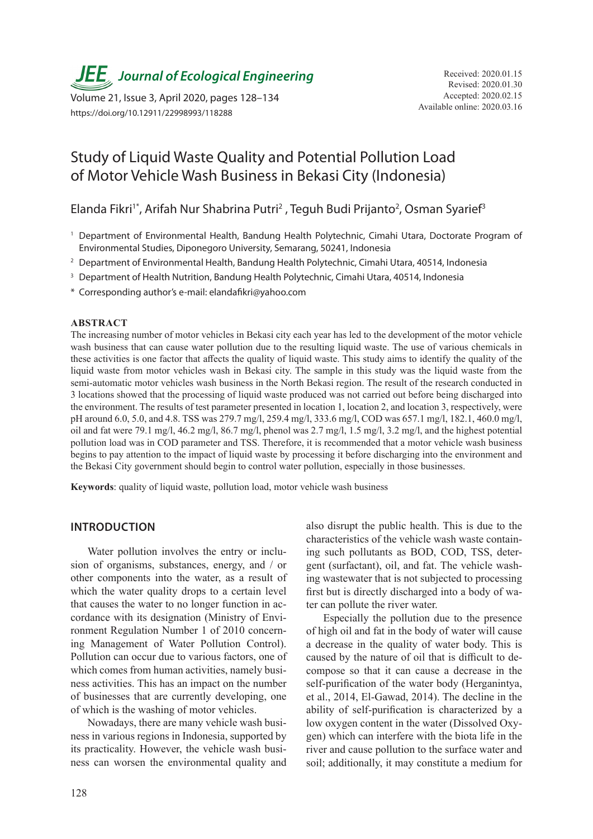**JEE** Journal of Ecological Engineering Received: 2020.01.15

Available online: 2020.03.16 Volume 21, Issue 3, April 2020, pages 128–134 https://doi.org/10.12911/22998993/118288

# Study of Liquid Waste Quality and Potential Pollution Load of Motor Vehicle Wash Business in Bekasi City (Indonesia)

Elanda Fikri<sup>1\*</sup>, Arifah Nur Shabrina Putri<sup>2</sup>, Teguh Budi Prijanto<sup>2</sup>, Osman Syarief<sup>3</sup>

- <sup>1</sup> Department of Environmental Health, Bandung Health Polytechnic, Cimahi Utara, Doctorate Program of Environmental Studies, Diponegoro University, Semarang, 50241, Indonesia
- <sup>2</sup> Department of Environmental Health, Bandung Health Polytechnic, Cimahi Utara, 40514, Indonesia
- <sup>3</sup> Department of Health Nutrition, Bandung Health Polytechnic, Cimahi Utara, 40514, Indonesia
- \* Corresponding author's e-mail: elandafikri@yahoo.com

# **ABSTRACT**

The increasing number of motor vehicles in Bekasi city each year has led to the development of the motor vehicle wash business that can cause water pollution due to the resulting liquid waste. The use of various chemicals in these activities is one factor that affects the quality of liquid waste. This study aims to identify the quality of the liquid waste from motor vehicles wash in Bekasi city. The sample in this study was the liquid waste from the semi-automatic motor vehicles wash business in the North Bekasi region. The result of the research conducted in 3 locations showed that the processing of liquid waste produced was not carried out before being discharged into the environment. The results of test parameter presented in location 1, location 2, and location 3, respectively, were pH around 6.0, 5.0, and 4.8. TSS was 279.7 mg/l, 259.4 mg/l, 333.6 mg/l, COD was 657.1 mg/l, 182.1, 460.0 mg/l, oil and fat were 79.1 mg/l, 46.2 mg/l, 86.7 mg/l, phenol was 2.7 mg/l, 1.5 mg/l, 3.2 mg/l, and the highest potential pollution load was in COD parameter and TSS. Therefore, it is recommended that a motor vehicle wash business begins to pay attention to the impact of liquid waste by processing it before discharging into the environment and the Bekasi City government should begin to control water pollution, especially in those businesses.

**Keywords**: quality of liquid waste, pollution load, motor vehicle wash business

## **INTRODUCTION**

Water pollution involves the entry or inclusion of organisms, substances, energy, and / or other components into the water, as a result of which the water quality drops to a certain level that causes the water to no longer function in accordance with its designation (Ministry of Environment Regulation Number 1 of 2010 concerning Management of Water Pollution Control). Pollution can occur due to various factors, one of which comes from human activities, namely business activities. This has an impact on the number of businesses that are currently developing, one of which is the washing of motor vehicles.

Nowadays, there are many vehicle wash business in various regions in Indonesia, supported by its practicality. However, the vehicle wash business can worsen the environmental quality and also disrupt the public health. This is due to the characteristics of the vehicle wash waste containing such pollutants as BOD, COD, TSS, detergent (surfactant), oil, and fat. The vehicle washing wastewater that is not subjected to processing first but is directly discharged into a body of water can pollute the river water.

Especially the pollution due to the presence of high oil and fat in the body of water will cause a decrease in the quality of water body. This is caused by the nature of oil that is difficult to decompose so that it can cause a decrease in the self-purification of the water body (Herganintya, et al., 2014, El-Gawad, 2014). The decline in the ability of self-purification is characterized by a low oxygen content in the water (Dissolved Oxygen) which can interfere with the biota life in the river and cause pollution to the surface water and soil; additionally, it may constitute a medium for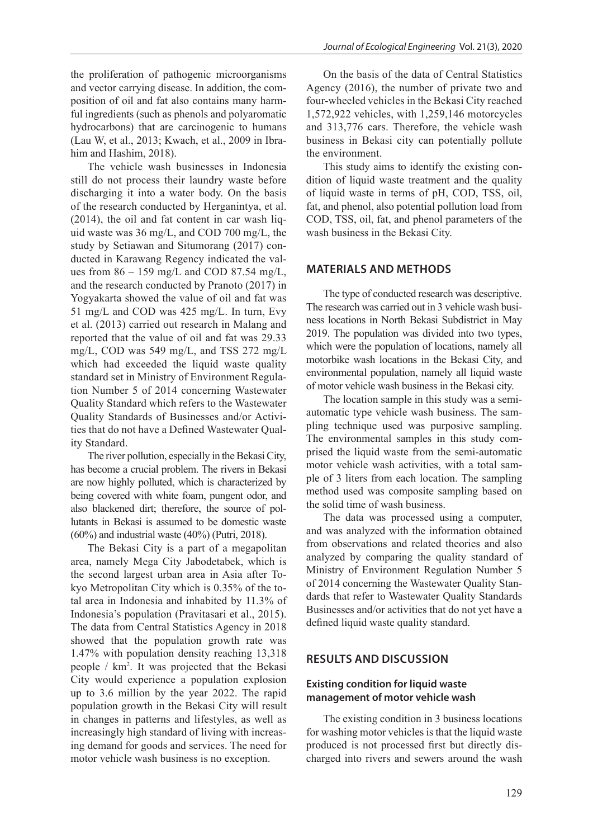the proliferation of pathogenic microorganisms and vector carrying disease. In addition, the composition of oil and fat also contains many harmful ingredients (such as phenols and polyaromatic hydrocarbons) that are carcinogenic to humans (Lau W, et al., 2013; Kwach, et al., 2009 in Ibrahim and Hashim, 2018).

The vehicle wash businesses in Indonesia still do not process their laundry waste before discharging it into a water body. On the basis of the research conducted by Herganintya, et al. (2014), the oil and fat content in car wash liquid waste was 36 mg/L, and COD 700 mg/L, the study by Setiawan and Situmorang (2017) conducted in Karawang Regency indicated the values from  $86 - 159$  mg/L and COD 87.54 mg/L, and the research conducted by Pranoto (2017) in Yogyakarta showed the value of oil and fat was 51 mg/L and COD was 425 mg/L. In turn, Evy et al. (2013) carried out research in Malang and reported that the value of oil and fat was 29.33 mg/L, COD was 549 mg/L, and TSS 272 mg/L which had exceeded the liquid waste quality standard set in Ministry of Environment Regulation Number 5 of 2014 concerning Wastewater Quality Standard which refers to the Wastewater Quality Standards of Businesses and/or Activities that do not have a Defined Wastewater Quality Standard.

The river pollution, especially in the Bekasi City, has become a crucial problem. The rivers in Bekasi are now highly polluted, which is characterized by being covered with white foam, pungent odor, and also blackened dirt; therefore, the source of pollutants in Bekasi is assumed to be domestic waste (60%) and industrial waste (40%) (Putri, 2018).

The Bekasi City is a part of a megapolitan area, namely Mega City Jabodetabek, which is the second largest urban area in Asia after Tokyo Metropolitan City which is 0.35% of the total area in Indonesia and inhabited by 11.3% of Indonesia's population (Pravitasari et al., 2015). The data from Central Statistics Agency in 2018 showed that the population growth rate was 1.47% with population density reaching 13,318 people / km2 . It was projected that the Bekasi City would experience a population explosion up to 3.6 million by the year 2022. The rapid population growth in the Bekasi City will result in changes in patterns and lifestyles, as well as increasingly high standard of living with increasing demand for goods and services. The need for motor vehicle wash business is no exception.

On the basis of the data of Central Statistics Agency (2016), the number of private two and four-wheeled vehicles in the Bekasi City reached 1,572,922 vehicles, with 1,259,146 motorcycles and 313,776 cars. Therefore, the vehicle wash business in Bekasi city can potentially pollute the environment.

This study aims to identify the existing condition of liquid waste treatment and the quality of liquid waste in terms of pH, COD, TSS, oil, fat, and phenol, also potential pollution load from COD, TSS, oil, fat, and phenol parameters of the wash business in the Bekasi City.

# **MATERIALS AND METHODS**

The type of conducted research was descriptive. The research was carried out in 3 vehicle wash business locations in North Bekasi Subdistrict in May 2019. The population was divided into two types, which were the population of locations, namely all motorbike wash locations in the Bekasi City, and environmental population, namely all liquid waste of motor vehicle wash business in the Bekasi city.

The location sample in this study was a semiautomatic type vehicle wash business. The sampling technique used was purposive sampling. The environmental samples in this study comprised the liquid waste from the semi-automatic motor vehicle wash activities, with a total sample of 3 liters from each location. The sampling method used was composite sampling based on the solid time of wash business.

The data was processed using a computer, and was analyzed with the information obtained from observations and related theories and also analyzed by comparing the quality standard of Ministry of Environment Regulation Number 5 of 2014 concerning the Wastewater Quality Standards that refer to Wastewater Quality Standards Businesses and/or activities that do not yet have a defined liquid waste quality standard.

# **RESULTS AND DISCUSSION**

# **Existing condition for liquid waste management of motor vehicle wash**

The existing condition in 3 business locations for washing motor vehicles is that the liquid waste produced is not processed first but directly discharged into rivers and sewers around the wash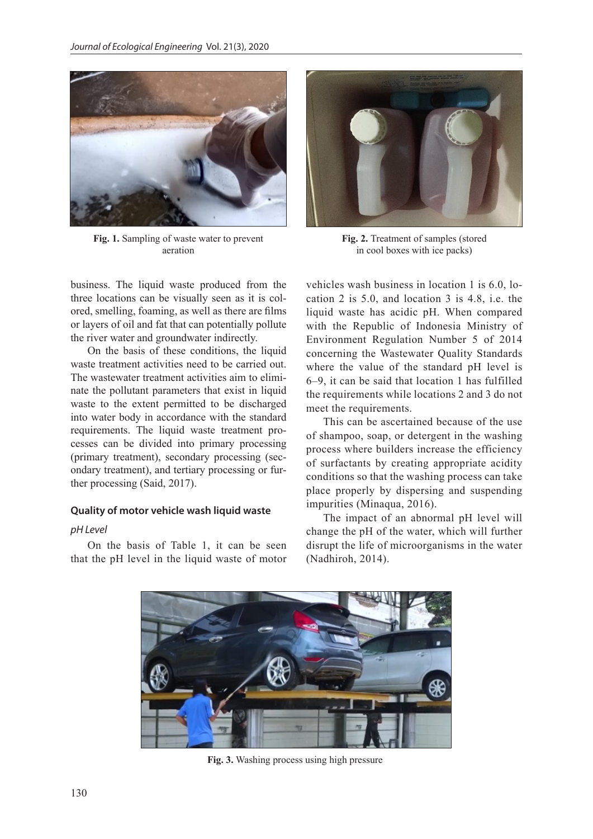

**Fig. 1.** Sampling of waste water to prevent aeration

business. The liquid waste produced from the three locations can be visually seen as it is colored, smelling, foaming, as well as there are films or layers of oil and fat that can potentially pollute the river water and groundwater indirectly.

On the basis of these conditions, the liquid waste treatment activities need to be carried out. The wastewater treatment activities aim to eliminate the pollutant parameters that exist in liquid waste to the extent permitted to be discharged into water body in accordance with the standard requirements. The liquid waste treatment processes can be divided into primary processing (primary treatment), secondary processing (secondary treatment), and tertiary processing or further processing (Said, 2017).

## **Quality of motor vehicle wash liquid waste**

#### *pH Level*

On the basis of Table 1, it can be seen that the pH level in the liquid waste of motor



**Fig. 2.** Treatment of samples (stored in cool boxes with ice packs)

vehicles wash business in location 1 is 6.0, location 2 is 5.0, and location 3 is 4.8, i.e. the liquid waste has acidic pH. When compared with the Republic of Indonesia Ministry of Environment Regulation Number 5 of 2014 concerning the Wastewater Quality Standards where the value of the standard pH level is 6–9, it can be said that location 1 has fulfilled the requirements while locations 2 and 3 do not meet the requirements.

This can be ascertained because of the use of shampoo, soap, or detergent in the washing process where builders increase the efficiency of surfactants by creating appropriate acidity conditions so that the washing process can take place properly by dispersing and suspending impurities (Minaqua, 2016).

The impact of an abnormal pH level will change the pH of the water, which will further disrupt the life of microorganisms in the water (Nadhiroh, 2014).



**Fig. 3.** Washing process using high pressure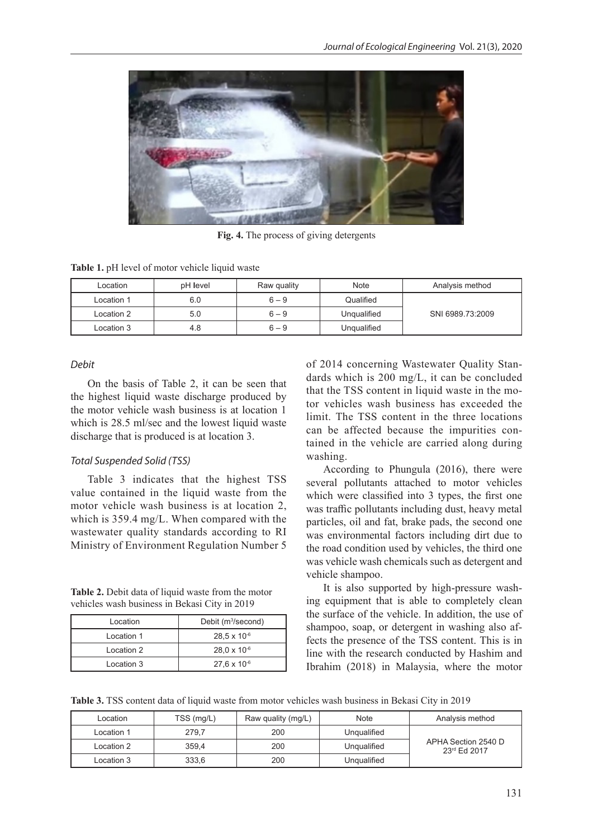

**Fig. 4.** The process of giving detergents

**Table 1.** pH level of motor vehicle liquid waste

| Location   | pH level | Raw quality | Note        | Analysis method  |
|------------|----------|-------------|-------------|------------------|
| Location 1 | 6.0      | $6 - 9$     | Qualified   |                  |
| Location 2 | 5.0      | $6 - 9$     | Unqualified | SNI 6989.73:2009 |
| Location 3 | 4.8      | $6 - 9$     | Unqualified |                  |

## *Debit*

On the basis of Table 2, it can be seen that the highest liquid waste discharge produced by the motor vehicle wash business is at location 1 which is 28.5 ml/sec and the lowest liquid waste discharge that is produced is at location 3.

#### *Total Suspended Solid (TSS)*

Table 3 indicates that the highest TSS value contained in the liquid waste from the motor vehicle wash business is at location 2, which is 359.4 mg/L. When compared with the wastewater quality standards according to RI Ministry of Environment Regulation Number 5

**Table 2.** Debit data of liquid waste from the motor vehicles wash business in Bekasi City in 2019

| Location    | Debit $(m^3/\text{second})$ |  |
|-------------|-----------------------------|--|
| Location 1  | $28.5 \times 10^{-6}$       |  |
| 1 ocation 2 | $28.0 \times 10^{-6}$       |  |
| Location 3  | $27.6 \times 10^{-6}$       |  |

of 2014 concerning Wastewater Quality Standards which is 200 mg/L, it can be concluded that the TSS content in liquid waste in the motor vehicles wash business has exceeded the limit. The TSS content in the three locations can be affected because the impurities contained in the vehicle are carried along during washing.

According to Phungula (2016), there were several pollutants attached to motor vehicles which were classified into 3 types, the first one was traffic pollutants including dust, heavy metal particles, oil and fat, brake pads, the second one was environmental factors including dirt due to the road condition used by vehicles, the third one was vehicle wash chemicals such as detergent and vehicle shampoo.

It is also supported by high-pressure washing equipment that is able to completely clean the surface of the vehicle. In addition, the use of shampoo, soap, or detergent in washing also affects the presence of the TSS content. This is in line with the research conducted by Hashim and Ibrahim (2018) in Malaysia, where the motor

**Table 3.** TSS content data of liquid waste from motor vehicles wash business in Bekasi City in 2019

| Location   | TSS (mg/L) | Raw quality (mg/L) | Note        | Analysis method                     |
|------------|------------|--------------------|-------------|-------------------------------------|
| Location 1 | 279.7      | 200                | Ungualified |                                     |
| Location 2 | 359.4      | 200                | Ungualified | APHA Section 2540 D<br>23rd Ed 2017 |
| Location 3 | 333,6      | 200                | Ungualified |                                     |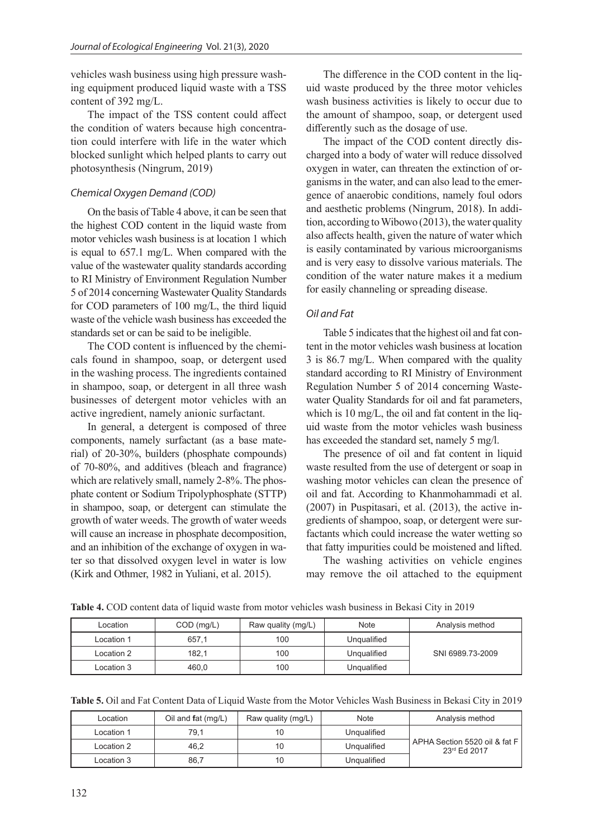vehicles wash business using high pressure washing equipment produced liquid waste with a TSS content of 392 mg/L.

The impact of the TSS content could affect the condition of waters because high concentration could interfere with life in the water which blocked sunlight which helped plants to carry out photosynthesis (Ningrum, 2019)

# *Chemical Oxygen Demand (COD)*

On the basis of Table 4 above, it can be seen that the highest COD content in the liquid waste from motor vehicles wash business is at location 1 which is equal to 657.1 mg/L. When compared with the value of the wastewater quality standards according to RI Ministry of Environment Regulation Number 5 of 2014 concerning Wastewater Quality Standards for COD parameters of 100 mg/L, the third liquid waste of the vehicle wash business has exceeded the standards set or can be said to be ineligible.

The COD content is influenced by the chemicals found in shampoo, soap, or detergent used in the washing process. The ingredients contained in shampoo, soap, or detergent in all three wash businesses of detergent motor vehicles with an active ingredient, namely anionic surfactant.

In general, a detergent is composed of three components, namely surfactant (as a base material) of 20-30%, builders (phosphate compounds) of 70-80%, and additives (bleach and fragrance) which are relatively small, namely 2-8%. The phosphate content or Sodium Tripolyphosphate (STTP) in shampoo, soap, or detergent can stimulate the growth of water weeds. The growth of water weeds will cause an increase in phosphate decomposition, and an inhibition of the exchange of oxygen in water so that dissolved oxygen level in water is low (Kirk and Othmer, 1982 in Yuliani, et al. 2015).

The difference in the COD content in the liquid waste produced by the three motor vehicles wash business activities is likely to occur due to the amount of shampoo, soap, or detergent used differently such as the dosage of use.

The impact of the COD content directly discharged into a body of water will reduce dissolved oxygen in water, can threaten the extinction of organisms in the water, and can also lead to the emergence of anaerobic conditions, namely foul odors and aesthetic problems (Ningrum, 2018). In addition, according to Wibowo (2013), the water quality also affects health, given the nature of water which is easily contaminated by various microorganisms and is very easy to dissolve various materials. The condition of the water nature makes it a medium for easily channeling or spreading disease.

# *Oil and Fat*

Table 5 indicates that the highest oil and fat content in the motor vehicles wash business at location 3 is 86.7 mg/L. When compared with the quality standard according to RI Ministry of Environment Regulation Number 5 of 2014 concerning Wastewater Quality Standards for oil and fat parameters, which is 10 mg/L, the oil and fat content in the liquid waste from the motor vehicles wash business has exceeded the standard set, namely 5 mg/l.

The presence of oil and fat content in liquid waste resulted from the use of detergent or soap in washing motor vehicles can clean the presence of oil and fat. According to Khanmohammadi et al. (2007) in Puspitasari, et al. (2013), the active ingredients of shampoo, soap, or detergent were surfactants which could increase the water wetting so that fatty impurities could be moistened and lifted.

The washing activities on vehicle engines may remove the oil attached to the equipment

| Location   | $COD$ (mg/L) | Raw quality (mg/L) | Note        | Analysis method  |
|------------|--------------|--------------------|-------------|------------------|
| Location 1 | 657.1        | 100                | Unqualified |                  |
| Location 2 | 182,1        | 100                | Unqualified | SNI 6989.73-2009 |
| Location 3 | 460,0        | 100                | Unqualified |                  |

**Table 4.** COD content data of liquid waste from motor vehicles wash business in Bekasi City in 2019

| Location   | Oil and $fat$ (mg/L) | Raw quality (mg/L) | Note        | Analysis method                                 |
|------------|----------------------|--------------------|-------------|-------------------------------------------------|
| Location 1 | 79.1                 |                    | Unqualified |                                                 |
| Location 2 | 46,2                 |                    | Unqualified | APHA Section 5520 oil & fat F I<br>23rd Ed 2017 |
| Location 3 | 86,7                 |                    | Unqualified |                                                 |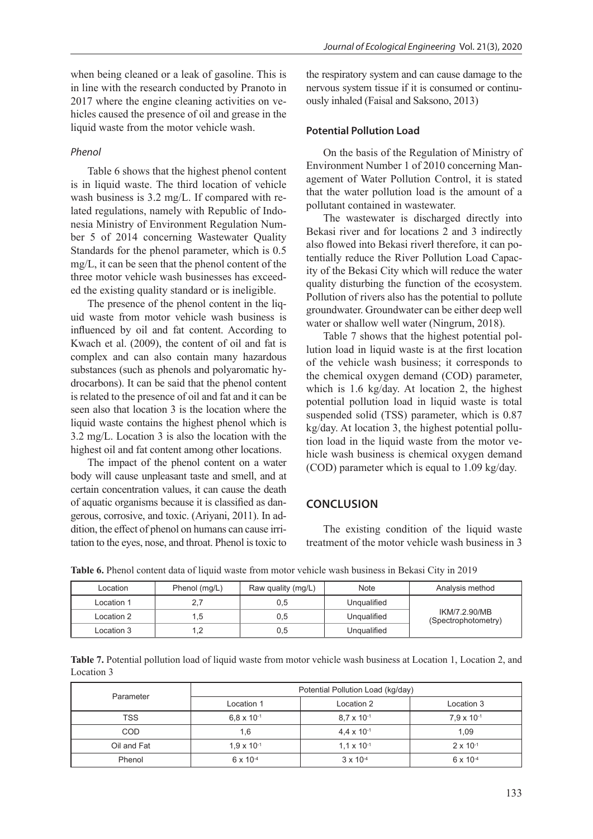when being cleaned or a leak of gasoline. This is in line with the research conducted by Pranoto in 2017 where the engine cleaning activities on vehicles caused the presence of oil and grease in the liquid waste from the motor vehicle wash.

# *Phenol*

Table 6 shows that the highest phenol content is in liquid waste. The third location of vehicle wash business is 3.2 mg/L. If compared with related regulations, namely with Republic of Indonesia Ministry of Environment Regulation Number 5 of 2014 concerning Wastewater Quality Standards for the phenol parameter, which is 0.5 mg/L, it can be seen that the phenol content of the three motor vehicle wash businesses has exceeded the existing quality standard or is ineligible.

The presence of the phenol content in the liquid waste from motor vehicle wash business is influenced by oil and fat content. According to Kwach et al. (2009), the content of oil and fat is complex and can also contain many hazardous substances (such as phenols and polyaromatic hydrocarbons). It can be said that the phenol content is related to the presence of oil and fat and it can be seen also that location 3 is the location where the liquid waste contains the highest phenol which is 3.2 mg/L. Location 3 is also the location with the highest oil and fat content among other locations.

The impact of the phenol content on a water body will cause unpleasant taste and smell, and at certain concentration values, it can cause the death of aquatic organisms because it is classified as dangerous, corrosive, and toxic. (Ariyani, 2011). In addition, the effect of phenol on humans can cause irritation to the eyes, nose, and throat. Phenol is toxic to the respiratory system and can cause damage to the nervous system tissue if it is consumed or continuously inhaled (Faisal and Saksono, 2013)

## **Potential Pollution Load**

On the basis of the Regulation of Ministry of Environment Number 1 of 2010 concerning Management of Water Pollution Control, it is stated that the water pollution load is the amount of a pollutant contained in wastewater.

The wastewater is discharged directly into Bekasi river and for locations 2 and 3 indirectly also flowed into Bekasi riverł therefore, it can potentially reduce the River Pollution Load Capacity of the Bekasi City which will reduce the water quality disturbing the function of the ecosystem. Pollution of rivers also has the potential to pollute groundwater. Groundwater can be either deep well water or shallow well water (Ningrum, 2018).

Table 7 shows that the highest potential pollution load in liquid waste is at the first location of the vehicle wash business; it corresponds to the chemical oxygen demand (COD) parameter, which is 1.6 kg/day. At location 2, the highest potential pollution load in liquid waste is total suspended solid (TSS) parameter, which is 0.87 kg/day. At location 3, the highest potential pollution load in the liquid waste from the motor vehicle wash business is chemical oxygen demand (COD) parameter which is equal to 1.09 kg/day.

# **CONCLUSION**

The existing condition of the liquid waste treatment of the motor vehicle wash business in 3

| Location   | Phenol (mg/L) | Raw quality (mg/L) | Note        | Analysis method                      |
|------------|---------------|--------------------|-------------|--------------------------------------|
| Location 1 |               | 0,5                | Ungualified |                                      |
| Location 2 | .5            | 0,5                | Ungualified | IKM/7.2.90/MB<br>(Spectrophotometry) |
| Location 3 |               | 0,5                | Ungualified |                                      |

**Table 6.** Phenol content data of liquid waste from motor vehicle wash business in Bekasi City in 2019

**Table 7.** Potential pollution load of liquid waste from motor vehicle wash business at Location 1, Location 2, and Location 3

| Parameter   | Potential Pollution Load (kg/day) |                      |                      |  |
|-------------|-----------------------------------|----------------------|----------------------|--|
|             | Location 1                        | Location 2           | Location 3           |  |
| <b>TSS</b>  | $6.8 \times 10^{-1}$              | $8.7 \times 10^{-1}$ | $7.9 \times 10^{-1}$ |  |
| <b>COD</b>  | 1,6                               | $4.4 \times 10^{-1}$ | 1,09                 |  |
| Oil and Fat | $1.9 \times 10^{-1}$              | $1.1 \times 10^{-1}$ | $2 \times 10^{-1}$   |  |
| Phenol      | $6 \times 10^{-4}$                | $3 \times 10^{-4}$   | $6 \times 10^{-4}$   |  |